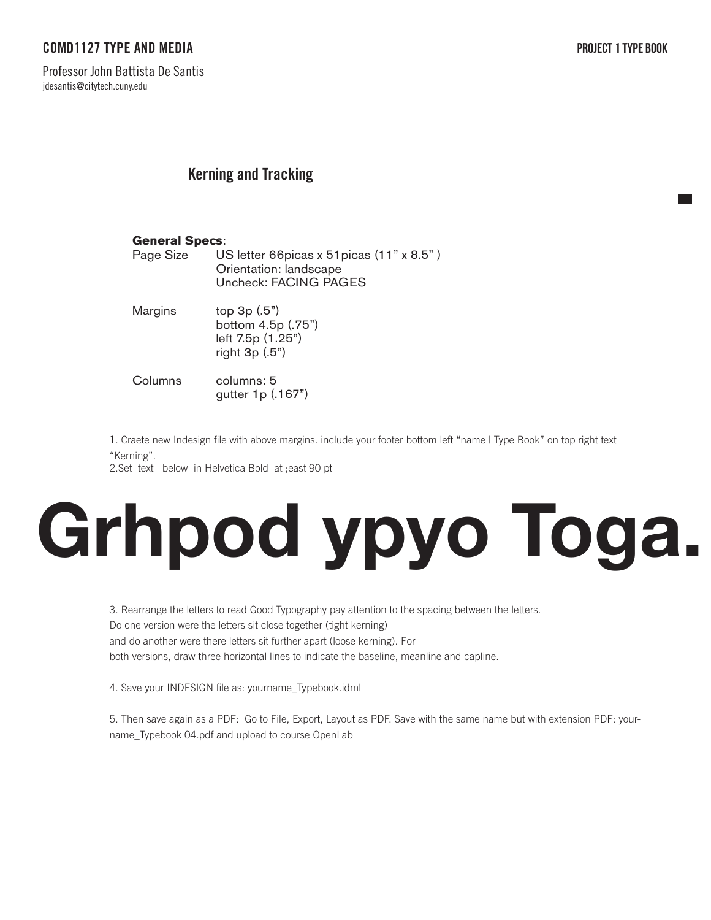# COMD1127 TYPE AND MEDIA

Professor John Battista De Santis jdesantis@citytech.cuny.edu

### **Kerning and Tracking** We will explore all the different parts of a letterform. Just like our bodies every little part and

## **General Specs**:

| Page Size | US letter 66 picas x 51 picas (11" x 8.5") |
|-----------|--------------------------------------------|
|           | Orientation: landscape                     |
|           | Uncheck: FACING PAGES                      |

| Margins                          | top $3p(.5")$<br>bottom 4.5p (.75")<br>left 7.5p (1.25")<br>right $3p(.5")$ |
|----------------------------------|-----------------------------------------------------------------------------|
| $\bigcap$ . In case of $\bigcap$ | ≂ مصممان المص                                                               |

Columns columns: 5 gutter 1p (.167")

1. Search for five with a show that the value of the total of the two styles (Old Style, Book" on top right text 1. Craete new Indesign file with above margins. include your footer bottom left "name I Type Book" on top right text<br>"Kerning" "Kerning".

widding.<br>2.Set text below in Helvetica Bold at ;east 90 pt into an image box, by going into File/ Place...

### Shoulder Stress Position each letter perfectly into the image box. 3. Once you have all the images showing perfectly save your INDESIGN file as: Industry Communist **Grhpod ypyo Toga.**

5. Rearrange the letters to read dood typography pay attention to the spacing between the Do one version were the letters sit close together (tight kerning) and do another were there letters sit further apart (loose kerning). For both versions, draw three horizontal lines to indicate the baseline, meanline and capline. 3. Rearrange the letters to read Good Typography pay attention to the spacing between the letters.

4. Save your INDESIGN file as: yourname\_Typebook.idml

5. Then save again as a PDF: Go to File, Export, Layout as PDF. Save with the same name but with extension PDF: yourname\_Typebook 04.pdf and upload to course OpenLab